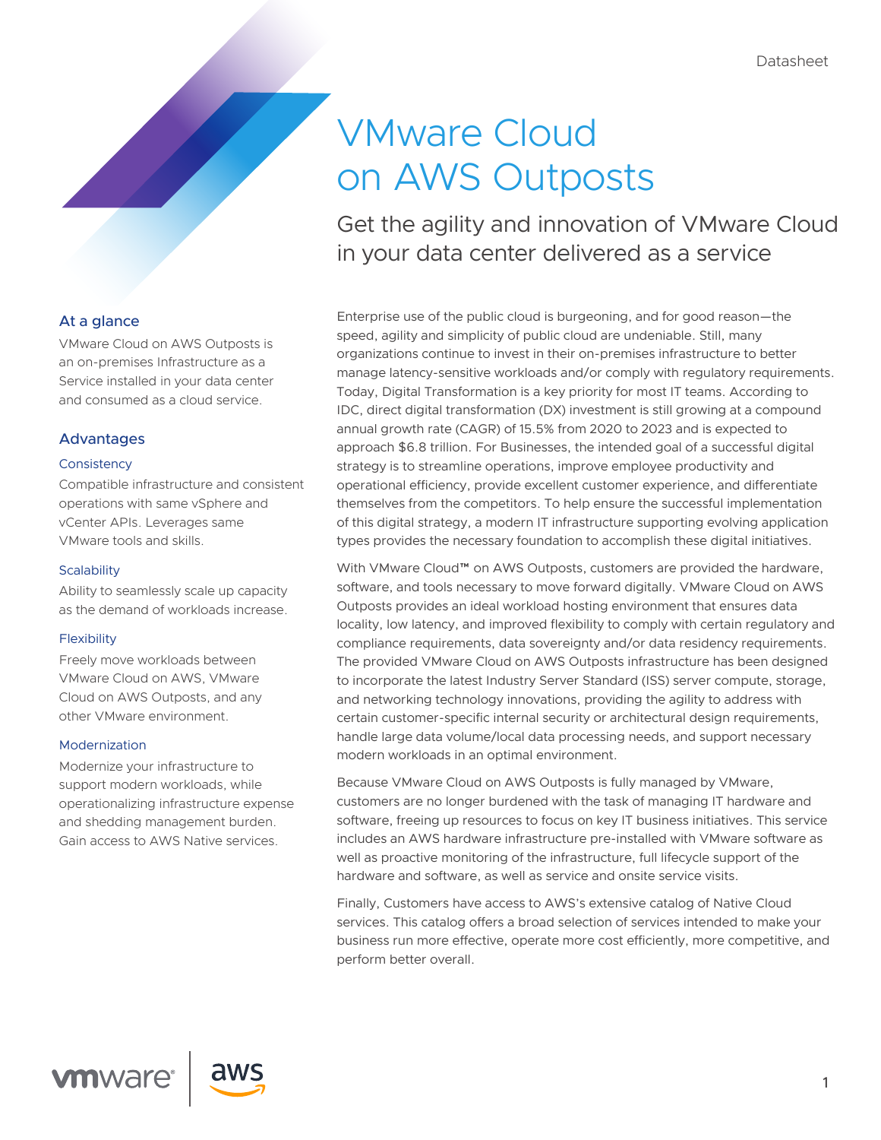# VMware Cloud on AWS Outposts

Get the agility and innovation of VMware Cloud in your data center delivered as a service

Enterprise use of the public cloud is burgeoning, and for good reason—the speed, agility and simplicity of public cloud are undeniable. Still, many organizations continue to invest in their on-premises infrastructure to better manage latency-sensitive workloads and/or comply with regulatory requirements. Today, Digital Transformation is a key priority for most IT teams. According to IDC, direct digital transformation (DX) investment is still growing at a compound annual growth rate (CAGR) of 15.5% from 2020 to 2023 and is expected to approach \$6.8 trillion. For Businesses, the intended goal of a successful digital strategy is to streamline operations, improve employee productivity and operational efficiency, provide excellent customer experience, and differentiate themselves from the competitors. To help ensure the successful implementation of this digital strategy, a modern IT infrastructure supporting evolving application types provides the necessary foundation to accomplish these digital initiatives.

With VMware Cloud™ on AWS Outposts, customers are provided the hardware, software, and tools necessary to move forward digitally. VMware Cloud on AWS Outposts provides an ideal workload hosting environment that ensures data locality, low latency, and improved flexibility to comply with certain regulatory and compliance requirements, data sovereignty and/or data residency requirements. The provided VMware Cloud on AWS Outposts infrastructure has been designed to incorporate the latest Industry Server Standard (ISS) server compute, storage, and networking technology innovations, providing the agility to address with certain customer-specific internal security or architectural design requirements, handle large data volume/local data processing needs, and support necessary modern workloads in an optimal environment.

Because VMware Cloud on AWS Outposts is fully managed by VMware, customers are no longer burdened with the task of managing IT hardware and software, freeing up resources to focus on key IT business initiatives. This service includes an AWS hardware infrastructure pre-installed with VMware software as well as proactive monitoring of the infrastructure, full lifecycle support of the hardware and software, as well as service and onsite service visits.

Finally, Customers have access to AWS's extensive catalog of Native Cloud services. This catalog offers a broad selection of services intended to make your business run more effective, operate more cost efficiently, more competitive, and perform better overall.

### At a glance

VMware Cloud on AWS Outposts is an on-premises Infrastructure as a Service installed in your data center and consumed as a cloud service.

#### Advantages

#### **Consistency**

Compatible infrastructure and consistent operations with same vSphere and vCenter APIs. Leverages same VMware tools and skills.

#### **Scalability**

Ability to seamlessly scale up capacity as the demand of workloads increase.

#### **Flexibility**

Freely move workloads between VMware Cloud on AWS, VMware Cloud on AWS Outposts, and any other VMware environment.

#### Modernization

Modernize your infrastructure to support modern workloads, while operationalizing infrastructure expense and shedding management burden. Gain access to AWS Native services.

**vm**ware

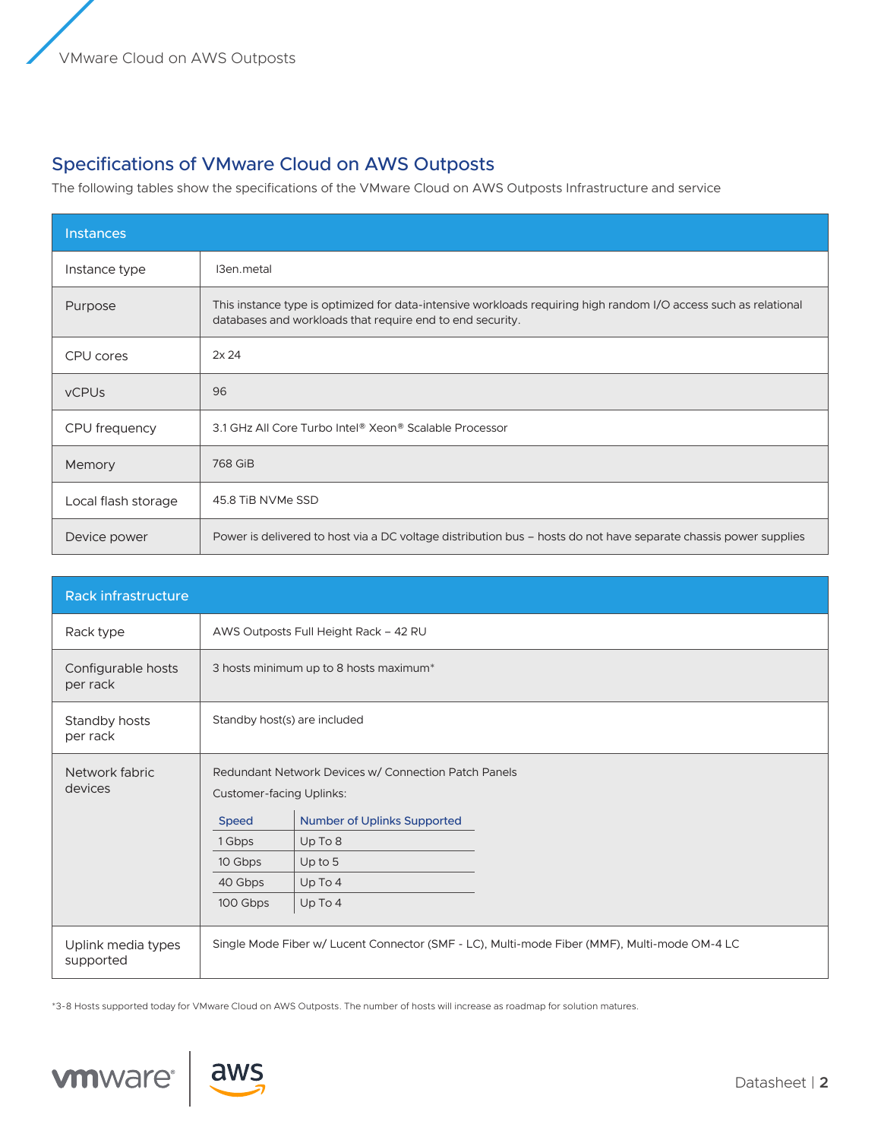## Specifications of VMware Cloud on AWS Outposts

The following tables show the specifications of the VMware Cloud on AWS Outposts Infrastructure and service

| <b>Instances</b>    |                                                                                                                                                                               |  |
|---------------------|-------------------------------------------------------------------------------------------------------------------------------------------------------------------------------|--|
| Instance type       | I3en.metal                                                                                                                                                                    |  |
| Purpose             | This instance type is optimized for data-intensive workloads requiring high random I/O access such as relational<br>databases and workloads that require end to end security. |  |
| CPU cores           | 2x 24                                                                                                                                                                         |  |
| <b>vCPUs</b>        | 96                                                                                                                                                                            |  |
| CPU frequency       | 3.1 GHz All Core Turbo Intel® Xeon® Scalable Processor                                                                                                                        |  |
| Memory              | 768 GiB                                                                                                                                                                       |  |
| Local flash storage | 45.8 TiB NVMe SSD                                                                                                                                                             |  |
| Device power        | Power is delivered to host via a DC voltage distribution bus – hosts do not have separate chassis power supplies                                                              |  |

| Rack infrastructure             |                                                                                             |                                                                                                                                            |  |
|---------------------------------|---------------------------------------------------------------------------------------------|--------------------------------------------------------------------------------------------------------------------------------------------|--|
| Rack type                       | AWS Outposts Full Height Rack - 42 RU                                                       |                                                                                                                                            |  |
| Configurable hosts<br>per rack  | 3 hosts minimum up to 8 hosts maximum*                                                      |                                                                                                                                            |  |
| Standby hosts<br>per rack       | Standby host(s) are included                                                                |                                                                                                                                            |  |
| Network fabric<br>devices       | <b>Customer-facing Uplinks:</b><br><b>Speed</b><br>1 Gbps<br>10 Gbps<br>40 Gbps<br>100 Gbps | Redundant Network Devices w/ Connection Patch Panels<br><b>Number of Uplinks Supported</b><br>Up To 8<br>Up to $5$<br>$Up$ To 4<br>Up To 4 |  |
| Uplink media types<br>supported |                                                                                             | Single Mode Fiber w/ Lucent Connector (SMF - LC), Multi-mode Fiber (MMF), Multi-mode OM-4 LC                                               |  |

\*3-8 Hosts supported today for VMware Cloud on AWS Outposts. The number of hosts will increase as roadmap for solution matures.



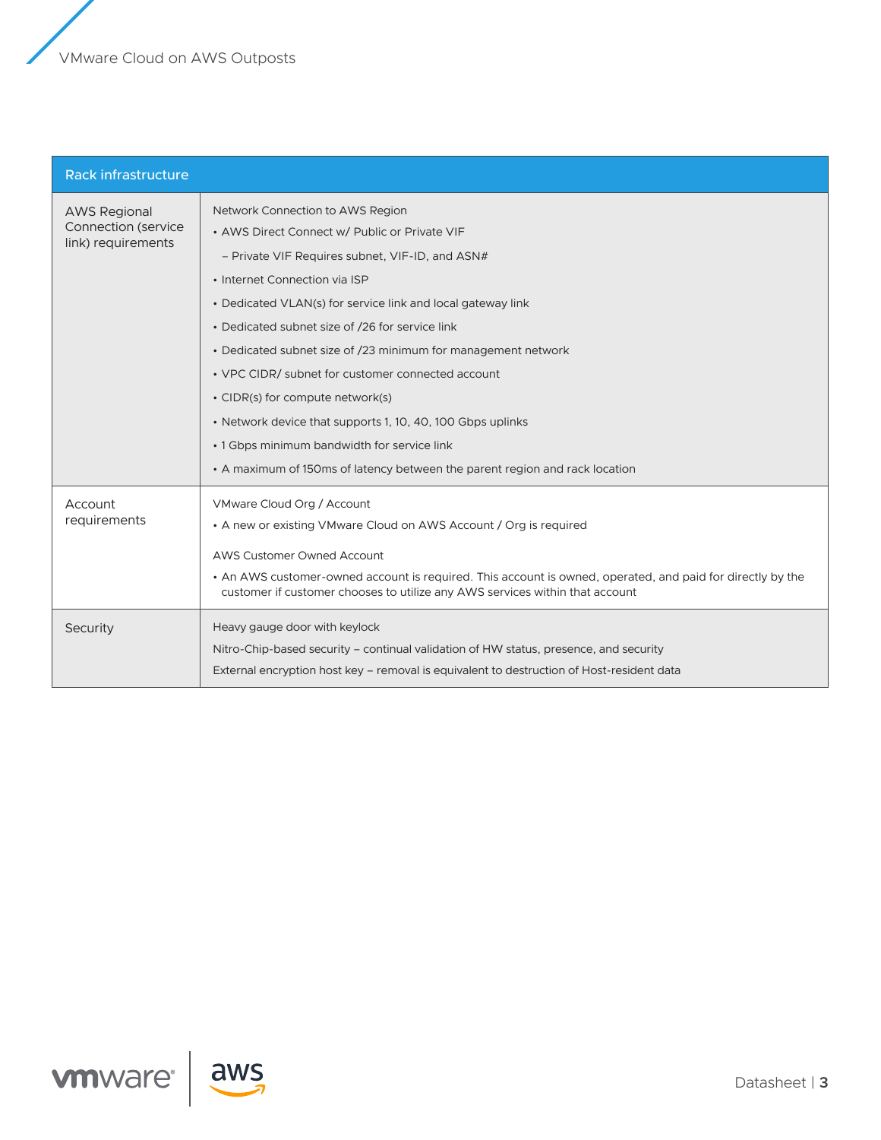VMware Cloud on AWS Outposts

| <b>Rack infrastructure</b>                                       |                                                                                                                                                                                                                                                                                                                                                                                                                                                                                                                                                                                                                                               |
|------------------------------------------------------------------|-----------------------------------------------------------------------------------------------------------------------------------------------------------------------------------------------------------------------------------------------------------------------------------------------------------------------------------------------------------------------------------------------------------------------------------------------------------------------------------------------------------------------------------------------------------------------------------------------------------------------------------------------|
| <b>AWS Regional</b><br>Connection (service<br>link) requirements | Network Connection to AWS Region<br>• AWS Direct Connect w/ Public or Private VIF<br>- Private VIF Requires subnet, VIF-ID, and ASN#<br>• Internet Connection via ISP<br>• Dedicated VLAN(s) for service link and local gateway link<br>• Dedicated subnet size of /26 for service link<br>• Dedicated subnet size of /23 minimum for management network<br>• VPC CIDR/ subnet for customer connected account<br>• CIDR(s) for compute network(s)<br>• Network device that supports 1, 10, 40, 100 Gbps uplinks<br>• 1 Gbps minimum bandwidth for service link<br>• A maximum of 150ms of latency between the parent region and rack location |
| Account<br>requirements<br>Security                              | VMware Cloud Org / Account<br>• A new or existing VMware Cloud on AWS Account / Org is required<br><b>AWS Customer Owned Account</b><br>• An AWS customer-owned account is required. This account is owned, operated, and paid for directly by the<br>customer if customer chooses to utilize any AWS services within that account<br>Heavy gauge door with keylock<br>Nitro-Chip-based security – continual validation of HW status, presence, and security                                                                                                                                                                                  |
|                                                                  | External encryption host key – removal is equivalent to destruction of Host-resident data                                                                                                                                                                                                                                                                                                                                                                                                                                                                                                                                                     |



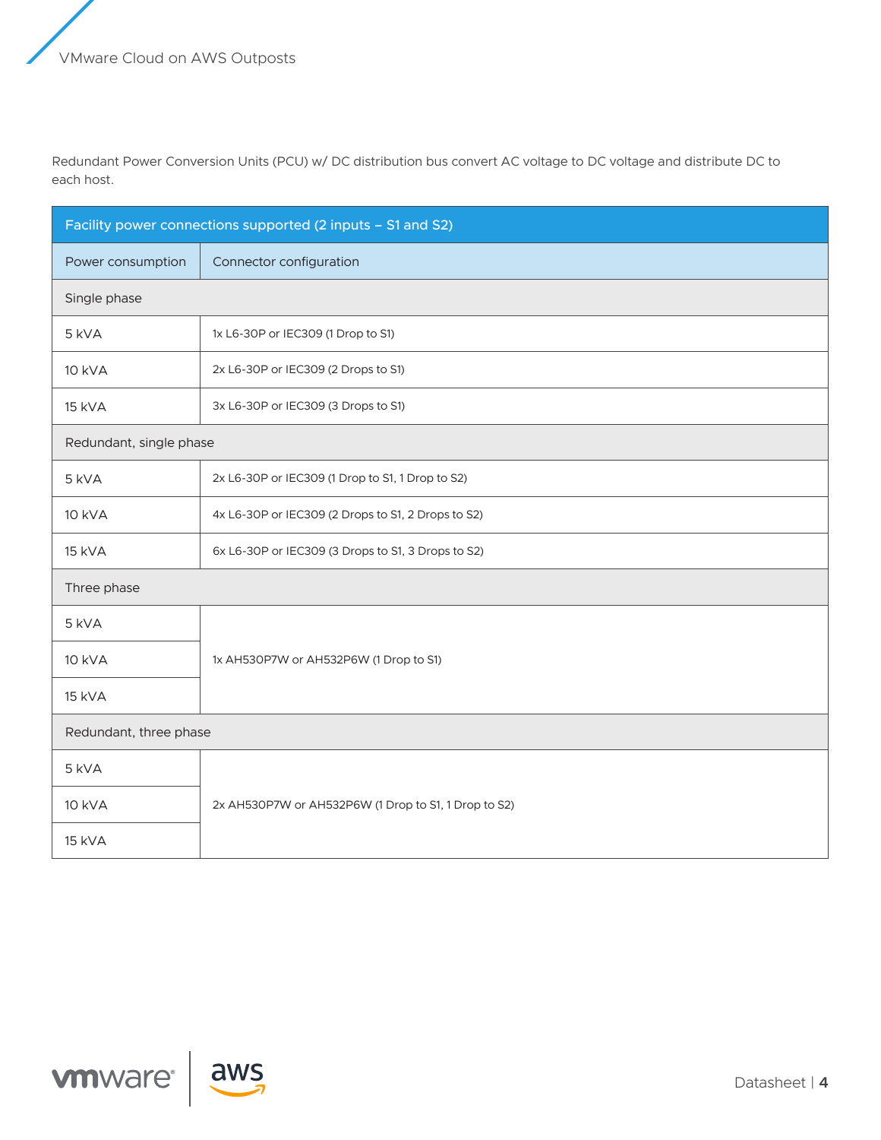Redundant Power Conversion Units (PCU) w/ DC distribution bus convert AC voltage to DC voltage and distribute DC to each host.

| Facility power connections supported (2 inputs - S1 and S2) |                                                      |  |
|-------------------------------------------------------------|------------------------------------------------------|--|
| Power consumption                                           | Connector configuration                              |  |
| Single phase                                                |                                                      |  |
| 5 kVA                                                       | 1x L6-30P or IEC309 (1 Drop to S1)                   |  |
| <b>10 kVA</b>                                               | 2x L6-30P or IEC309 (2 Drops to S1)                  |  |
| 15 kVA                                                      | 3x L6-30P or IEC309 (3 Drops to S1)                  |  |
| Redundant, single phase                                     |                                                      |  |
| 5 kVA                                                       | 2x L6-30P or IEC309 (1 Drop to S1, 1 Drop to S2)     |  |
| <b>10 kVA</b>                                               | 4x L6-30P or IEC309 (2 Drops to S1, 2 Drops to S2)   |  |
| <b>15 kVA</b>                                               | 6x L6-30P or IEC309 (3 Drops to S1, 3 Drops to S2)   |  |
| Three phase                                                 |                                                      |  |
| 5 kVA                                                       |                                                      |  |
| <b>10 kVA</b>                                               | 1x AH530P7W or AH532P6W (1 Drop to S1)               |  |
| <b>15 kVA</b>                                               |                                                      |  |
| Redundant, three phase                                      |                                                      |  |
| 5 kVA                                                       |                                                      |  |
| <b>10 kVA</b>                                               | 2x AH530P7W or AH532P6W (1 Drop to S1, 1 Drop to S2) |  |
| <b>15 kVA</b>                                               |                                                      |  |



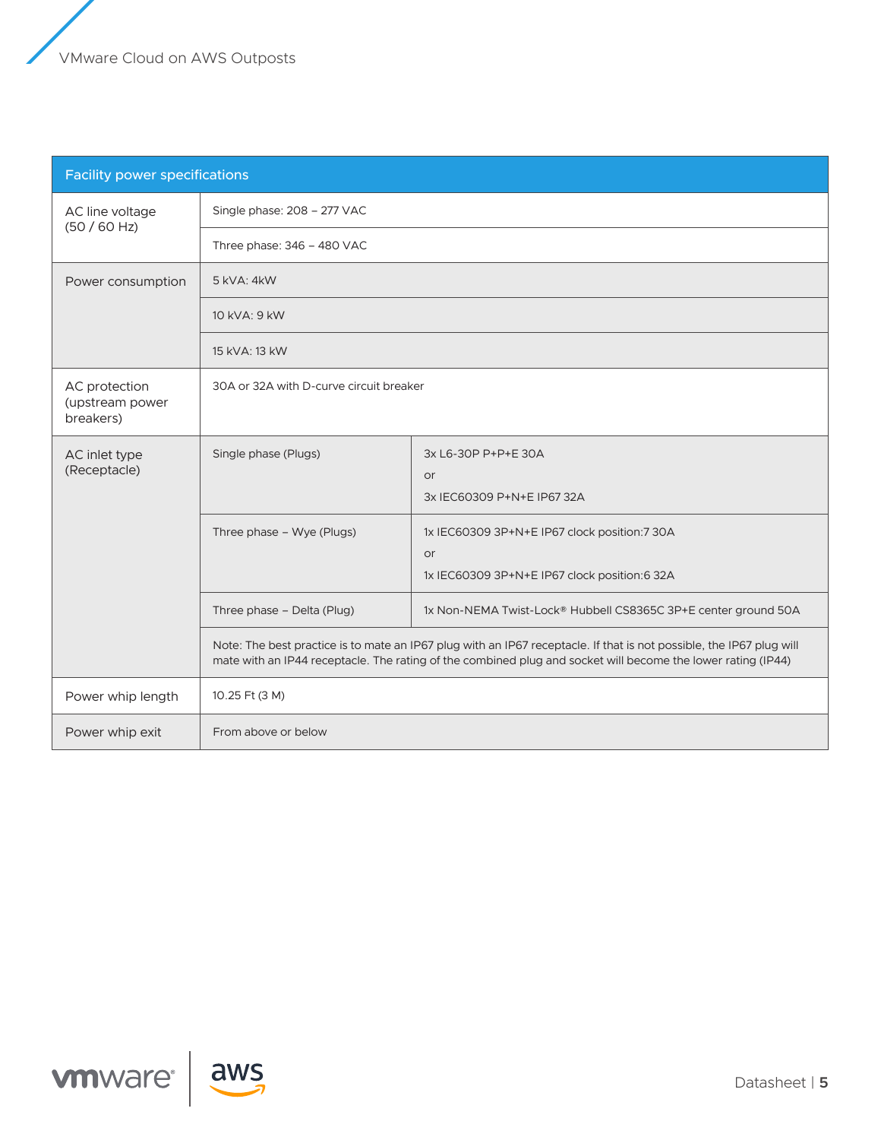| <b>Facility power specifications</b>          |                                                                                                                                                                                                                                      |                                                                                                           |  |
|-----------------------------------------------|--------------------------------------------------------------------------------------------------------------------------------------------------------------------------------------------------------------------------------------|-----------------------------------------------------------------------------------------------------------|--|
| AC line voltage<br>(50/60 Hz)                 | Single phase: 208 - 277 VAC                                                                                                                                                                                                          |                                                                                                           |  |
|                                               | Three phase: 346 - 480 VAC                                                                                                                                                                                                           |                                                                                                           |  |
| Power consumption                             | 5 kVA: 4 kW                                                                                                                                                                                                                          |                                                                                                           |  |
|                                               | 10 kVA: 9 kW                                                                                                                                                                                                                         |                                                                                                           |  |
|                                               | 15 kVA: 13 kW                                                                                                                                                                                                                        |                                                                                                           |  |
| AC protection<br>(upstream power<br>breakers) | 30A or 32A with D-curve circuit breaker                                                                                                                                                                                              |                                                                                                           |  |
| AC inlet type<br>(Receptacle)                 | Single phase (Plugs)                                                                                                                                                                                                                 | 3x L6-30P P+P+E 30A<br><b>or</b><br>3x IEC60309 P+N+E IP67 32A                                            |  |
|                                               | Three phase - Wye (Plugs)                                                                                                                                                                                                            | 1x IEC60309 3P+N+E IP67 clock position:7 30A<br><b>or</b><br>1x IEC60309 3P+N+E IP67 clock position:6 32A |  |
|                                               | Three phase - Delta (Plug)                                                                                                                                                                                                           | 1x Non-NEMA Twist-Lock® Hubbell CS8365C 3P+E center ground 50A                                            |  |
|                                               | Note: The best practice is to mate an IP67 plug with an IP67 receptacle. If that is not possible, the IP67 plug will<br>mate with an IP44 receptacle. The rating of the combined plug and socket will become the lower rating (IP44) |                                                                                                           |  |
| Power whip length                             | 10.25 Ft (3 M)                                                                                                                                                                                                                       |                                                                                                           |  |
| Power whip exit                               | From above or below                                                                                                                                                                                                                  |                                                                                                           |  |